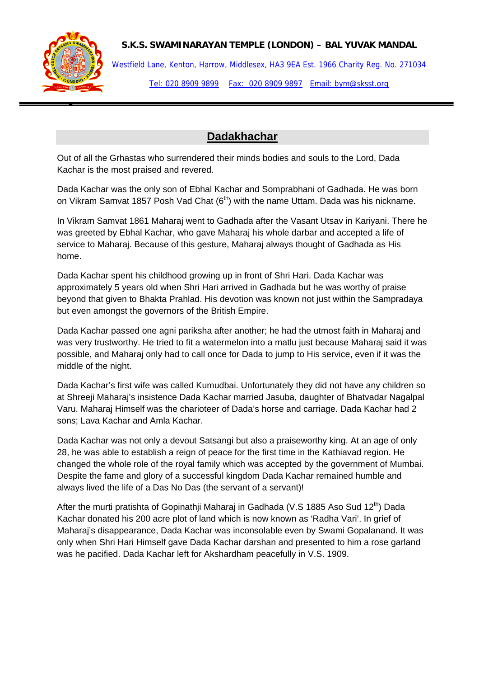

## **S.K.S. SWAMINARAYAN TEMPLE (LONDON) – BAL YUVAK MANDAL**

Westfield Lane, Kenton, Harrow, Middlesex, HA3 9EA Est. 1966 Charity Reg. No. 271034 Tel: 020 8909 9899 Fax: 020 8909 9897 Email: bym@sksst.org

## **Dadakhachar**

Out of all the Grhastas who surrendered their minds bodies and souls to the Lord, Dada Kachar is the most praised and revered.

Dada Kachar was the only son of Ebhal Kachar and Somprabhani of Gadhada. He was born on Vikram Samvat 1857 Posh Vad Chat (6<sup>th</sup>) with the name Uttam. Dada was his nickname.

In Vikram Samvat 1861 Maharaj went to Gadhada after the Vasant Utsav in Kariyani. There he was greeted by Ebhal Kachar, who gave Maharaj his whole darbar and accepted a life of service to Maharaj. Because of this gesture, Maharaj always thought of Gadhada as His home.

Dada Kachar spent his childhood growing up in front of Shri Hari. Dada Kachar was approximately 5 years old when Shri Hari arrived in Gadhada but he was worthy of praise beyond that given to Bhakta Prahlad. His devotion was known not just within the Sampradaya but even amongst the governors of the British Empire.

Dada Kachar passed one agni pariksha after another; he had the utmost faith in Maharaj and was very trustworthy. He tried to fit a watermelon into a matlu just because Maharaj said it was possible, and Maharaj only had to call once for Dada to jump to His service, even if it was the middle of the night.

Dada Kachar's first wife was called Kumudbai. Unfortunately they did not have any children so at Shreeji Maharaj's insistence Dada Kachar married Jasuba, daughter of Bhatvadar Nagalpal Varu. Maharaj Himself was the charioteer of Dada's horse and carriage. Dada Kachar had 2 sons; Lava Kachar and Amla Kachar.

Dada Kachar was not only a devout Satsangi but also a praiseworthy king. At an age of only 28, he was able to establish a reign of peace for the first time in the Kathiavad region. He changed the whole role of the royal family which was accepted by the government of Mumbai. Despite the fame and glory of a successful kingdom Dada Kachar remained humble and always lived the life of a Das No Das (the servant of a servant)!

After the murti pratishta of Gopinathii Maharaj in Gadhada (V.S 1885 Aso Sud 12<sup>th</sup>) Dada Kachar donated his 200 acre plot of land which is now known as 'Radha Vari'. In grief of Maharaj's disappearance, Dada Kachar was inconsolable even by Swami Gopalanand. It was only when Shri Hari Himself gave Dada Kachar darshan and presented to him a rose garland was he pacified. Dada Kachar left for Akshardham peacefully in V.S. 1909.